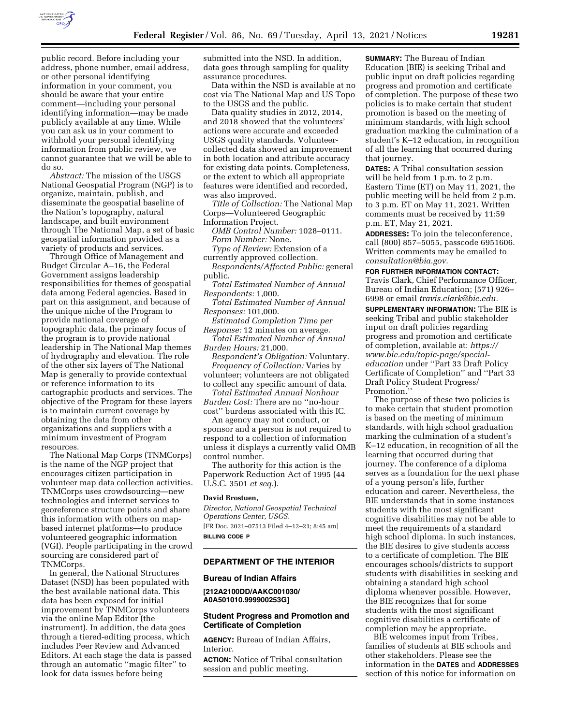

public record. Before including your address, phone number, email address, or other personal identifying information in your comment, you should be aware that your entire comment—including your personal identifying information—may be made publicly available at any time. While you can ask us in your comment to withhold your personal identifying information from public review, we cannot guarantee that we will be able to do so.

*Abstract:* The mission of the USGS National Geospatial Program (NGP) is to organize, maintain, publish, and disseminate the geospatial baseline of the Nation's topography, natural landscape, and built environment through The National Map, a set of basic geospatial information provided as a variety of products and services.

Through Office of Management and Budget Circular A–16, the Federal Government assigns leadership responsibilities for themes of geospatial data among Federal agencies. Based in part on this assignment, and because of the unique niche of the Program to provide national coverage of topographic data, the primary focus of the program is to provide national leadership in The National Map themes of hydrography and elevation. The role of the other six layers of The National Map is generally to provide contextual or reference information to its cartographic products and services. The objective of the Program for these layers is to maintain current coverage by obtaining the data from other organizations and suppliers with a minimum investment of Program resources.

The National Map Corps (TNMCorps) is the name of the NGP project that encourages citizen participation in volunteer map data collection activities. TNMCorps uses crowdsourcing—new technologies and internet services to georeference structure points and share this information with others on mapbased internet platforms—to produce volunteered geographic information (VGI). People participating in the crowd sourcing are considered part of TNMCorps.

In general, the National Structures Dataset (NSD) has been populated with the best available national data. This data has been exposed for initial improvement by TNMCorps volunteers via the online Map Editor (the instrument). In addition, the data goes through a tiered-editing process, which includes Peer Review and Advanced Editors. At each stage the data is passed through an automatic ''magic filter'' to look for data issues before being

submitted into the NSD. In addition, data goes through sampling for quality assurance procedures.

Data within the NSD is available at no cost via The National Map and US Topo to the USGS and the public.

Data quality studies in 2012, 2014, and 2018 showed that the volunteers' actions were accurate and exceeded USGS quality standards. Volunteercollected data showed an improvement in both location and attribute accuracy for existing data points. Completeness, or the extent to which all appropriate features were identified and recorded, was also improved.

*Title of Collection:* The National Map Corps—Volunteered Geographic Information Project.

*OMB Control Number:* 1028–0111. *Form Number:* None.

*Type of Review:* Extension of a currently approved collection.

*Respondents/Affected Public:* general public.

*Total Estimated Number of Annual Respondents:* 1,000.

*Total Estimated Number of Annual Responses:* 101,000.

*Estimated Completion Time per Response:* 12 minutes on average. *Total Estimated Number of Annual* 

*Burden Hours:* 21,000.

*Respondent's Obligation:* Voluntary. *Frequency of Collection:* Varies by volunteer; volunteers are not obligated to collect any specific amount of data.

*Total Estimated Annual Nonhour Burden Cost:* There are no ''no-hour cost'' burdens associated with this IC.

An agency may not conduct, or sponsor and a person is not required to respond to a collection of information unless it displays a currently valid OMB control number.

The authority for this action is the Paperwork Reduction Act of 1995 (44 U.S.C. 3501 *et seq.*).

### **David Brostuen,**

*Director, National Geospatial Technical Operations Center, USGS.*  [FR Doc. 2021–07513 Filed 4–12–21; 8:45 am] **BILLING CODE P** 

#### **DEPARTMENT OF THE INTERIOR**

#### **Bureau of Indian Affairs**

**[212A2100DD/AAKC001030/ A0A501010.999900253G]** 

### **Student Progress and Promotion and Certificate of Completion**

**AGENCY:** Bureau of Indian Affairs, Interior.

**ACTION:** Notice of Tribal consultation session and public meeting.

**SUMMARY:** The Bureau of Indian Education (BIE) is seeking Tribal and public input on draft policies regarding progress and promotion and certificate of completion. The purpose of these two policies is to make certain that student promotion is based on the meeting of minimum standards, with high school graduation marking the culmination of a student's K–12 education, in recognition of all the learning that occurred during that journey.

**DATES:** A Tribal consultation session will be held from 1 p.m. to 2 p.m. Eastern Time (ET) on May 11, 2021, the public meeting will be held from 2 p.m. to 3 p.m. ET on May 11, 2021. Written comments must be received by 11:59 p.m. ET, May 21, 2021.

**ADDRESSES:** To join the teleconference, call (800) 857–5055, passcode 6951606. Written comments may be emailed to *[consultation@bia.gov.](mailto:consultation@bia.gov)* 

**FOR FURTHER INFORMATION CONTACT:**  Travis Clark, Chief Performance Officer, Bureau of Indian Education; (571) 926–

6998 or email *[travis.clark@bie.edu.](mailto:travis.clark@bie.edu)*  **SUPPLEMENTARY INFORMATION:** The BIE is seeking Tribal and public stakeholder input on draft policies regarding progress and promotion and certificate of completion, available at: *[https://](https://www.bie.edu/topic-page/special-education) [www.bie.edu/topic-page/special](https://www.bie.edu/topic-page/special-education)[education](https://www.bie.edu/topic-page/special-education)* under ''Part 33 Draft Policy Certificate of Completion'' and ''Part 33 Draft Policy Student Progress/

Promotion.''

The purpose of these two policies is to make certain that student promotion is based on the meeting of minimum standards, with high school graduation marking the culmination of a student's K–12 education, in recognition of all the learning that occurred during that journey. The conference of a diploma serves as a foundation for the next phase of a young person's life, further education and career. Nevertheless, the BIE understands that in some instances students with the most significant cognitive disabilities may not be able to meet the requirements of a standard high school diploma. In such instances, the BIE desires to give students access to a certificate of completion. The BIE encourages schools/districts to support students with disabilities in seeking and obtaining a standard high school diploma whenever possible. However, the BIE recognizes that for some students with the most significant cognitive disabilities a certificate of completion may be appropriate.

BIE welcomes input from Tribes, families of students at BIE schools and other stakeholders. Please see the information in the **DATES** and **ADDRESSES** section of this notice for information on